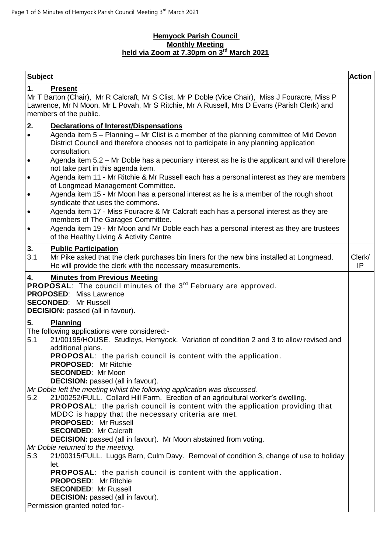## **Hemyock Parish Council Monthly Meeting held via Zoom at 7.30pm on 3 rd March 2021**

| <b>Subject</b>                                                                                                                                                                                                                         |                                                                                                                                                                                                                                                                                                                                                                                                                                       | <b>Action</b> |  |  |
|----------------------------------------------------------------------------------------------------------------------------------------------------------------------------------------------------------------------------------------|---------------------------------------------------------------------------------------------------------------------------------------------------------------------------------------------------------------------------------------------------------------------------------------------------------------------------------------------------------------------------------------------------------------------------------------|---------------|--|--|
| 1.                                                                                                                                                                                                                                     | <b>Present</b><br>Mr T Barton (Chair), Mr R Calcraft, Mr S Clist, Mr P Doble (Vice Chair), Miss J Fouracre, Miss P<br>Lawrence, Mr N Moon, Mr L Povah, Mr S Ritchie, Mr A Russell, Mrs D Evans (Parish Clerk) and<br>members of the public.                                                                                                                                                                                           |               |  |  |
| 2.<br>$\bullet$                                                                                                                                                                                                                        | <b>Declarations of Interest/Dispensations</b><br>Agenda item 5 – Planning – Mr Clist is a member of the planning committee of Mid Devon<br>District Council and therefore chooses not to participate in any planning application<br>consultation.                                                                                                                                                                                     |               |  |  |
| $\bullet$                                                                                                                                                                                                                              | Agenda item 5.2 – Mr Doble has a pecuniary interest as he is the applicant and will therefore<br>not take part in this agenda item.                                                                                                                                                                                                                                                                                                   |               |  |  |
| $\bullet$                                                                                                                                                                                                                              | Agenda item 11 - Mr Ritchie & Mr Russell each has a personal interest as they are members<br>of Longmead Management Committee.                                                                                                                                                                                                                                                                                                        |               |  |  |
| $\bullet$                                                                                                                                                                                                                              | Agenda item 15 - Mr Moon has a personal interest as he is a member of the rough shoot<br>syndicate that uses the commons.                                                                                                                                                                                                                                                                                                             |               |  |  |
| $\bullet$                                                                                                                                                                                                                              | Agenda item 17 - Miss Fouracre & Mr Calcraft each has a personal interest as they are<br>members of The Garages Committee.                                                                                                                                                                                                                                                                                                            |               |  |  |
| $\bullet$                                                                                                                                                                                                                              | Agenda item 19 - Mr Moon and Mr Doble each has a personal interest as they are trustees<br>of the Healthy Living & Activity Centre                                                                                                                                                                                                                                                                                                    |               |  |  |
| 3.<br>3.1                                                                                                                                                                                                                              | <b>Public Participation</b><br>Mr Pike asked that the clerk purchases bin liners for the new bins installed at Longmead.<br>He will provide the clerk with the necessary measurements.                                                                                                                                                                                                                                                | Clerk/<br>IP  |  |  |
| 4.<br><b>Minutes from Previous Meeting</b><br>PROPOSAL: The council minutes of the 3 <sup>rd</sup> February are approved.<br><b>PROPOSED:</b> Miss Lawrence<br><b>SECONDED:</b> Mr Russell<br><b>DECISION:</b> passed (all in favour). |                                                                                                                                                                                                                                                                                                                                                                                                                                       |               |  |  |
| 5.<br>5.1                                                                                                                                                                                                                              | <b>Planning</b><br>The following applications were considered:-<br>21/00195/HOUSE. Studleys, Hemyock. Variation of condition 2 and 3 to allow revised and<br>additional plans.<br><b>PROPOSAL:</b> the parish council is content with the application.<br>PROPOSED: Mr Ritchie<br><b>SECONDED: Mr Moon</b><br><b>DECISION:</b> passed (all in favour).                                                                                |               |  |  |
| 5.2                                                                                                                                                                                                                                    | Mr Doble left the meeting whilst the following application was discussed.<br>21/00252/FULL. Collard Hill Farm. Erection of an agricultural worker's dwelling.<br>PROPOSAL: the parish council is content with the application providing that<br>MDDC is happy that the necessary criteria are met.<br><b>PROPOSED: Mr Russell</b><br><b>SECONDED: Mr Calcraft</b><br>DECISION: passed (all in favour). Mr Moon abstained from voting. |               |  |  |
| 5.3                                                                                                                                                                                                                                    | Mr Doble returned to the meeting.<br>21/00315/FULL. Luggs Barn, Culm Davy. Removal of condition 3, change of use to holiday<br>let.                                                                                                                                                                                                                                                                                                   |               |  |  |
|                                                                                                                                                                                                                                        | <b>PROPOSAL:</b> the parish council is content with the application.<br><b>PROPOSED:</b> Mr Ritchie<br><b>SECONDED: Mr Russell</b><br><b>DECISION:</b> passed (all in favour).<br>Permission granted noted for:-                                                                                                                                                                                                                      |               |  |  |
|                                                                                                                                                                                                                                        |                                                                                                                                                                                                                                                                                                                                                                                                                                       |               |  |  |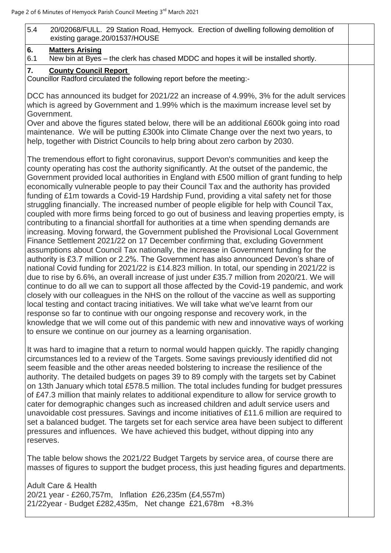| 5.4<br>20/02068/FULL. 29 Station Road, Hemyock. Erection of dwelling following demolition of<br>existing garage.20/01537/HOUSE<br>6.<br><b>Matters Arising</b><br>New bin at Byes - the clerk has chased MDDC and hopes it will be installed shortly.<br>6.1<br>7.<br><b>County Council Report</b><br>Councillor Radford circulated the following report before the meeting:-<br>DCC has announced its budget for 2021/22 an increase of 4.99%, 3% for the adult services<br>which is agreed by Government and 1.99% which is the maximum increase level set by<br>Government.<br>Over and above the figures stated below, there will be an additional £600k going into road<br>maintenance. We will be putting £300k into Climate Change over the next two years, to<br>help, together with District Councils to help bring about zero carbon by 2030.<br>The tremendous effort to fight coronavirus, support Devon's communities and keep the<br>county operating has cost the authority significantly. At the outset of the pandemic, the<br>Government provided local authorities in England with £500 million of grant funding to help<br>economically vulnerable people to pay their Council Tax and the authority has provided<br>funding of £1m towards a Covid-19 Hardship Fund, providing a vital safety net for those |
|----------------------------------------------------------------------------------------------------------------------------------------------------------------------------------------------------------------------------------------------------------------------------------------------------------------------------------------------------------------------------------------------------------------------------------------------------------------------------------------------------------------------------------------------------------------------------------------------------------------------------------------------------------------------------------------------------------------------------------------------------------------------------------------------------------------------------------------------------------------------------------------------------------------------------------------------------------------------------------------------------------------------------------------------------------------------------------------------------------------------------------------------------------------------------------------------------------------------------------------------------------------------------------------------------------------------------------|
|                                                                                                                                                                                                                                                                                                                                                                                                                                                                                                                                                                                                                                                                                                                                                                                                                                                                                                                                                                                                                                                                                                                                                                                                                                                                                                                                  |
|                                                                                                                                                                                                                                                                                                                                                                                                                                                                                                                                                                                                                                                                                                                                                                                                                                                                                                                                                                                                                                                                                                                                                                                                                                                                                                                                  |
|                                                                                                                                                                                                                                                                                                                                                                                                                                                                                                                                                                                                                                                                                                                                                                                                                                                                                                                                                                                                                                                                                                                                                                                                                                                                                                                                  |
|                                                                                                                                                                                                                                                                                                                                                                                                                                                                                                                                                                                                                                                                                                                                                                                                                                                                                                                                                                                                                                                                                                                                                                                                                                                                                                                                  |
|                                                                                                                                                                                                                                                                                                                                                                                                                                                                                                                                                                                                                                                                                                                                                                                                                                                                                                                                                                                                                                                                                                                                                                                                                                                                                                                                  |
|                                                                                                                                                                                                                                                                                                                                                                                                                                                                                                                                                                                                                                                                                                                                                                                                                                                                                                                                                                                                                                                                                                                                                                                                                                                                                                                                  |
|                                                                                                                                                                                                                                                                                                                                                                                                                                                                                                                                                                                                                                                                                                                                                                                                                                                                                                                                                                                                                                                                                                                                                                                                                                                                                                                                  |
| struggling financially. The increased number of people eligible for help with Council Tax,<br>coupled with more firms being forced to go out of business and leaving properties empty, is<br>contributing to a financial shortfall for authorities at a time when spending demands are<br>increasing. Moving forward, the Government published the Provisional Local Government<br>Finance Settlement 2021/22 on 17 December confirming that, excluding Government<br>assumptions about Council Tax nationally, the increase in Government funding for the<br>authority is £3.7 million or 2.2%. The Government has also announced Devon's share of<br>national Covid funding for 2021/22 is £14.823 million. In total, our spending in 2021/22 is                                                                                                                                                                                                                                                                                                                                                                                                                                                                                                                                                                               |

It was hard to imagine that a return to normal would happen quickly. The rapidly changing circumstances led to a review of the Targets. Some savings previously identified did not seem feasible and the other areas needed bolstering to increase the resilience of the authority. The detailed budgets on pages 39 to 89 comply with the targets set by Cabinet on 13th January which total £578.5 million. The total includes funding for budget pressures of £47.3 million that mainly relates to additional expenditure to allow for service growth to cater for demographic changes such as increased children and adult service users and unavoidable cost pressures. Savings and income initiatives of £11.6 million are required to set a balanced budget. The targets set for each service area have been subject to different pressures and influences. We have achieved this budget, without dipping into any reserves.

continue to do all we can to support all those affected by the Covid-19 pandemic, and work closely with our colleagues in the NHS on the rollout of the vaccine as well as supporting

knowledge that we will come out of this pandemic with new and innovative ways of working

local testing and contact tracing initiatives. We will take what we've learnt from our response so far to continue with our ongoing response and recovery work, in the

The table below shows the 2021/22 Budget Targets by service area, of course there are masses of figures to support the budget process, this just heading figures and departments.

Adult Care & Health 20/21 year - £260,757m, Inflation £26,235m (£4,557m) 21/22year - Budget £282,435m, Net change £21,678m +8.3%

to ensure we continue on our journey as a learning organisation.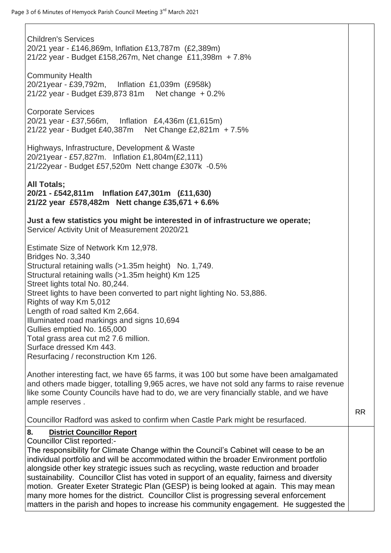| <b>Children's Services</b><br>20/21 year - £146,869m, Inflation £13,787m (£2,389m)<br>21/22 year - Budget £158,267m, Net change £11,398m + 7.8%                                                                                                                                                                                                                                                                                                                                                                                                                                                                                                                                                                                                                                                                           |           |
|---------------------------------------------------------------------------------------------------------------------------------------------------------------------------------------------------------------------------------------------------------------------------------------------------------------------------------------------------------------------------------------------------------------------------------------------------------------------------------------------------------------------------------------------------------------------------------------------------------------------------------------------------------------------------------------------------------------------------------------------------------------------------------------------------------------------------|-----------|
| <b>Community Health</b><br>20/21 year - £39,792m, Inflation £1,039m (£958k)<br>21/22 year - Budget £39,873 81m Net change + 0.2%                                                                                                                                                                                                                                                                                                                                                                                                                                                                                                                                                                                                                                                                                          |           |
| <b>Corporate Services</b><br>20/21 year - £37,566m, Inflation £4,436m (£1,615m)<br>21/22 year - Budget £40,387m Net Change £2,821m + 7.5%                                                                                                                                                                                                                                                                                                                                                                                                                                                                                                                                                                                                                                                                                 |           |
| Highways, Infrastructure, Development & Waste<br>20/21year - £57,827m. Inflation £1,804m(£2,111)<br>21/22year - Budget £57,520m Nett change £307k -0.5%                                                                                                                                                                                                                                                                                                                                                                                                                                                                                                                                                                                                                                                                   |           |
| <b>All Totals;</b><br>20/21 - £542,811m Inflation £47,301m (£11,630)<br>21/22 year £578,482m Nett change £35,671 + 6.6%                                                                                                                                                                                                                                                                                                                                                                                                                                                                                                                                                                                                                                                                                                   |           |
| Just a few statistics you might be interested in of infrastructure we operate;<br>Service/ Activity Unit of Measurement 2020/21                                                                                                                                                                                                                                                                                                                                                                                                                                                                                                                                                                                                                                                                                           |           |
| Estimate Size of Network Km 12,978.<br>Bridges No. 3,340<br>Structural retaining walls (>1.35m height) No. 1,749.<br>Structural retaining walls (>1.35m height) Km 125<br>Street lights total No. 80,244.<br>Street lights to have been converted to part night lighting No. 53,886.<br>Rights of way Km 5,012<br>Length of road salted Km 2,664.<br>Illuminated road markings and signs 10,694<br>Gullies emptied No. 165,000<br>Total grass area cut m2 7.6 million.<br>Surface dressed Km 443.<br>Resurfacing / reconstruction Km 126.<br>Another interesting fact, we have 65 farms, it was 100 but some have been amalgamated<br>and others made bigger, totalling 9,965 acres, we have not sold any farms to raise revenue<br>like some County Councils have had to do, we are very financially stable, and we have |           |
| ample reserves.                                                                                                                                                                                                                                                                                                                                                                                                                                                                                                                                                                                                                                                                                                                                                                                                           | <b>RR</b> |
| Councillor Radford was asked to confirm when Castle Park might be resurfaced.                                                                                                                                                                                                                                                                                                                                                                                                                                                                                                                                                                                                                                                                                                                                             |           |
| <b>District Councillor Report</b><br>8.<br>Councillor Clist reported:-<br>The responsibility for Climate Change within the Council's Cabinet will cease to be an<br>individual portfolio and will be accommodated within the broader Environment portfolio<br>alongside other key strategic issues such as recycling, waste reduction and broader<br>sustainability. Councillor Clist has voted in support of an equality, fairness and diversity<br>motion. Greater Exeter Strategic Plan (GESP) is being looked at again. This may mean<br>many more homes for the district. Councillor Clist is progressing several enforcement<br>matters in the parish and hopes to increase his community engagement. He suggested the                                                                                              |           |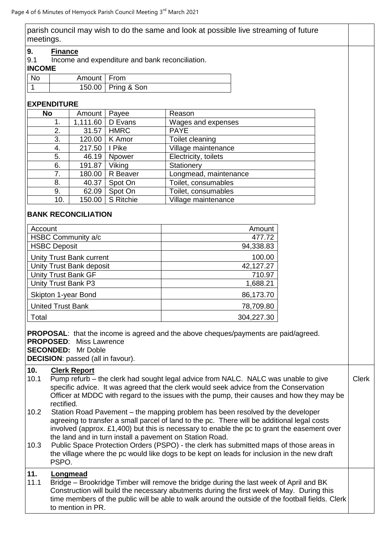parish council may wish to do the same and look at possible live streaming of future meetings.

#### **9. Finance**

9.1 Income and expenditure and bank reconciliation.

#### **INCOME**

| <b>No</b> | Amount   From |                      |
|-----------|---------------|----------------------|
|           |               | 150.00   Pring & Son |

## **EXPENDITURE**

| <b>No</b> | Amount   | Payee         | Reason                |
|-----------|----------|---------------|-----------------------|
| 1.        | 1,111.60 | D Evans       | Wages and expenses    |
| 2.        | 31.57    | <b>HMRC</b>   | <b>PAYE</b>           |
| 3.        | 120.00   | K Amor        | Toilet cleaning       |
| 4.        | 217.50   | I Pike        | Village maintenance   |
| 5.        | 46.19    | <b>Npower</b> | Electricity, toilets  |
| 6.        | 191.87   | Viking        | Stationery            |
| 7.        | 180.00   | R Beaver      | Longmead, maintenance |
| 8.        | 40.37    | Spot On       | Toilet, consumables   |
| 9.        | 62.09    | Spot On       | Toilet, consumables   |
| 10.       | 150.00   | S Ritchie     | Village maintenance   |

## **BANK RECONCILIATION**

| Account                         | Amount     |
|---------------------------------|------------|
| HSBC Community a/c              | 477.72     |
| <b>HSBC Deposit</b>             | 94,338.83  |
| <b>Unity Trust Bank current</b> | 100.00     |
| Unity Trust Bank deposit        | 42,127.27  |
| Unity Trust Bank GF             | 710.97     |
| Unity Trust Bank P3             | 1,688.21   |
| Skipton 1-year Bond             | 86,173.70  |
| <b>United Trust Bank</b>        | 78,709.80  |
| Total                           | 304,227.30 |

**PROPOSAL:** that the income is agreed and the above cheques/payments are paid/agreed. **PROPOSED**: Miss Lawrence

**SECONDED:** Mr Doble

**DECISION**: passed (all in favour).

## **10. Clerk Report**

- 10.1 Pump refurb the clerk had sought legal advice from NALC. NALC was unable to give specific advice. It was agreed that the clerk would seek advice from the Conservation Officer at MDDC with regard to the issues with the pump, their causes and how they may be rectified. Clerk
- 10.2 Station Road Pavement the mapping problem has been resolved by the developer agreeing to transfer a small parcel of land to the pc. There will be additional legal costs involved (approx. £1,400) but this is necessary to enable the pc to grant the easement over the land and in turn install a pavement on Station Road.
- 10.3 Public Space Protection Orders (PSPO) the clerk has submitted maps of those areas in the village where the pc would like dogs to be kept on leads for inclusion in the new draft PSPO.

# **11. Longmead**

11.1 Bridge – Brookridge Timber will remove the bridge during the last week of April and BK Construction will build the necessary abutments during the first week of May. During this time members of the public will be able to walk around the outside of the football fields. Clerk to mention in PR.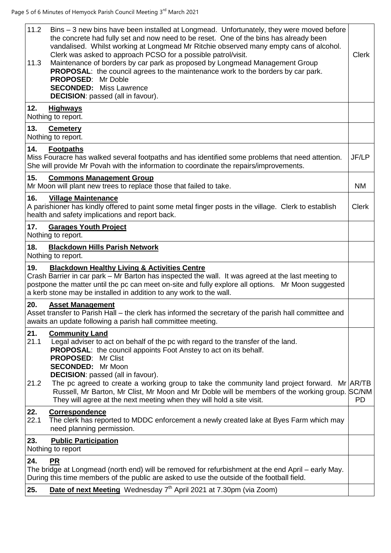| 11.2<br>11.3        | Bins - 3 new bins have been installed at Longmead. Unfortunately, they were moved before<br>the concrete had fully set and now need to be reset. One of the bins has already been<br>vandalised. Whilst working at Longmead Mr Ritchie observed many empty cans of alcohol.<br>Clerk was asked to approach PCSO for a possible patrol/visit.<br>Maintenance of borders by car park as proposed by Longmead Management Group<br><b>PROPOSAL:</b> the council agrees to the maintenance work to the borders by car park.<br><b>PROPOSED:</b> Mr Doble<br><b>SECONDED:</b> Miss Lawrence<br><b>DECISION:</b> passed (all in favour). | Clerk        |
|---------------------|-----------------------------------------------------------------------------------------------------------------------------------------------------------------------------------------------------------------------------------------------------------------------------------------------------------------------------------------------------------------------------------------------------------------------------------------------------------------------------------------------------------------------------------------------------------------------------------------------------------------------------------|--------------|
| 12.                 | <b>Highways</b><br>Nothing to report.                                                                                                                                                                                                                                                                                                                                                                                                                                                                                                                                                                                             |              |
| 13.                 | <b>Cemetery</b><br>Nothing to report.                                                                                                                                                                                                                                                                                                                                                                                                                                                                                                                                                                                             |              |
| 14.                 | <b>Footpaths</b><br>Miss Fouracre has walked several footpaths and has identified some problems that need attention.<br>She will provide Mr Povah with the information to coordinate the repairs/improvements.                                                                                                                                                                                                                                                                                                                                                                                                                    | JF/LP        |
| 15.                 | <b>Commons Management Group</b><br>Mr Moon will plant new trees to replace those that failed to take.                                                                                                                                                                                                                                                                                                                                                                                                                                                                                                                             | <b>NM</b>    |
| 16.                 | <b>Village Maintenance</b><br>A parishioner has kindly offered to paint some metal finger posts in the village. Clerk to establish<br>health and safety implications and report back.                                                                                                                                                                                                                                                                                                                                                                                                                                             | <b>Clerk</b> |
| 17.                 | <b>Garages Youth Project</b><br>Nothing to report.                                                                                                                                                                                                                                                                                                                                                                                                                                                                                                                                                                                |              |
| 18.                 | <b>Blackdown Hills Parish Network</b><br>Nothing to report.                                                                                                                                                                                                                                                                                                                                                                                                                                                                                                                                                                       |              |
| 19.                 | <b>Blackdown Healthy Living &amp; Activities Centre</b><br>Crash Barrier in car park - Mr Barton has inspected the wall. It was agreed at the last meeting to<br>postpone the matter until the pc can meet on-site and fully explore all options. Mr Moon suggested<br>a kerb stone may be installed in addition to any work to the wall.                                                                                                                                                                                                                                                                                         |              |
| 20.                 | <b>Asset Management</b><br>Asset transfer to Parish Hall – the clerk has informed the secretary of the parish hall committee and<br>awaits an update following a parish hall committee meeting.                                                                                                                                                                                                                                                                                                                                                                                                                                   |              |
| 21.<br>21.1<br>21.2 | <b>Community Land</b><br>Legal adviser to act on behalf of the pc with regard to the transfer of the land.<br><b>PROPOSAL:</b> the council appoints Foot Anstey to act on its behalf.<br><b>PROPOSED: Mr Clist</b><br><b>SECONDED:</b> Mr Moon<br><b>DECISION:</b> passed (all in favour).<br>The pc agreed to create a working group to take the community land project forward. Mr $AR/TB$<br>Russell, Mr Barton, Mr Clist, Mr Moon and Mr Doble will be members of the working group. SC/NM<br>They will agree at the next meeting when they will hold a site visit.                                                           | <b>PD</b>    |
| 22.<br>22.1         | <b>Correspondence</b><br>The clerk has reported to MDDC enforcement a newly created lake at Byes Farm which may<br>need planning permission.                                                                                                                                                                                                                                                                                                                                                                                                                                                                                      |              |
| 23.                 | <b>Public Participation</b><br>Nothing to report                                                                                                                                                                                                                                                                                                                                                                                                                                                                                                                                                                                  |              |
| 24.                 | <b>PR</b>                                                                                                                                                                                                                                                                                                                                                                                                                                                                                                                                                                                                                         |              |
|                     | The bridge at Longmead (north end) will be removed for refurbishment at the end April – early May.<br>During this time members of the public are asked to use the outside of the football field.                                                                                                                                                                                                                                                                                                                                                                                                                                  |              |
| 25.                 | Date of next Meeting Wednesday 7 <sup>th</sup> April 2021 at 7.30pm (via Zoom)                                                                                                                                                                                                                                                                                                                                                                                                                                                                                                                                                    |              |